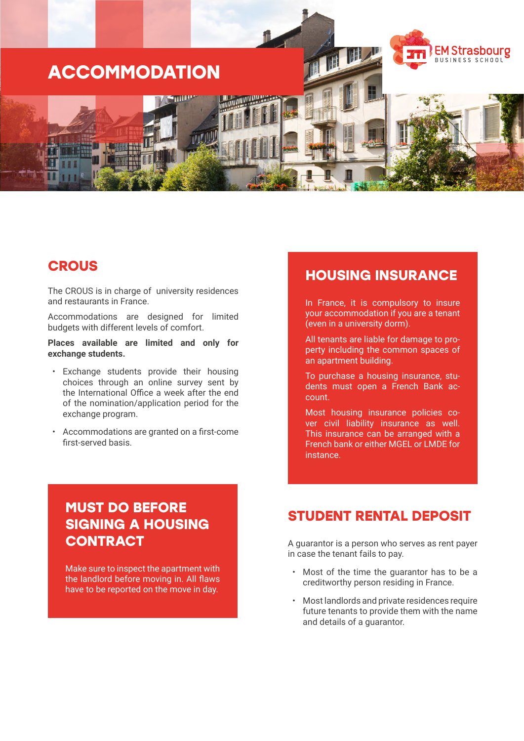

#### **CROUS**

The CROUS is in charge of university residences and restaurants in France.

Accommodations are designed for limited budgets with different levels of comfort.

**Places available are limited and only for exchange students.**

- Exchange students provide their housing choices through an online survey sent by the International Office a week after the end of the nomination/application period for the exchange program.
- Accommodations are granted on a first-come first-served basis.

# **MUST DO BEFORE SIGNING A HOUSING CONTRACT**

Make sure to inspect the apartment with the landlord before moving in. All flaws have to be reported on the move in day.

## **HOUSING INSURANCE**

In France, it is compulsory to insure your accommodation if you are a tenant (even in a university dorm).

All tenants are liable for damage to property including the common spaces of an apartment building.

To purchase a housing insurance, students must open a French Bank account.

Most housing insurance policies cover civil liability insurance as well. This insurance can be arranged with a French bank or either MGEL or LMDE for instance.

## **STUDENT RENTAL DEPOSIT**

A guarantor is a person who serves as rent payer in case the tenant fails to pay.

- Most of the time the guarantor has to be a creditworthy person residing in France.
- Most landlords and private residences require future tenants to provide them with the name and details of a guarantor.